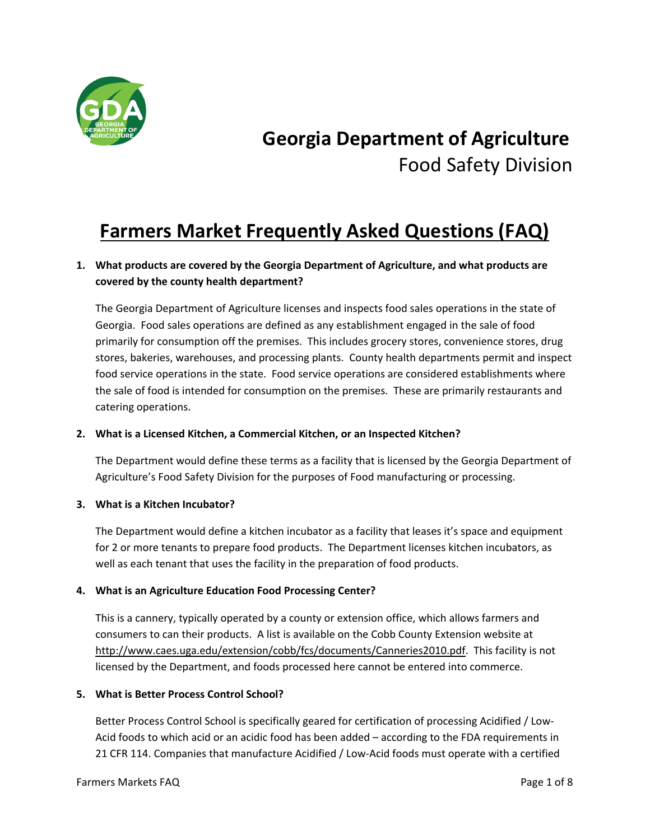

# **Georgia Department of Agriculture** Food Safety Division

# **Farmers Market Frequently Asked Questions (FAQ)**

# **1. What products are covered by the Georgia Department of Agriculture, and what products are covered by the county health department?**

The Georgia Department of Agriculture licenses and inspects food sales operations in the state of Georgia. Food sales operations are defined as any establishment engaged in the sale of food primarily for consumption off the premises. This includes grocery stores, convenience stores, drug stores, bakeries, warehouses, and processing plants. County health departments permit and inspect food service operations in the state. Food service operations are considered establishments where the sale of food is intended for consumption on the premises. These are primarily restaurants and catering operations.

#### **2. What is a Licensed Kitchen, a Commercial Kitchen, or an Inspected Kitchen?**

The Department would define these terms as a facility that is licensed by the Georgia Department of Agriculture's Food Safety Division for the purposes of Food manufacturing or processing.

#### **3. What is a Kitchen Incubator?**

The Department would define a kitchen incubator as a facility that leases it's space and equipment for 2 or more tenants to prepare food products. The Department licenses kitchen incubators, as well as each tenant that uses the facility in the preparation of food products.

#### **4. What is an Agriculture Education Food Processing Center?**

This is a cannery, typically operated by a county or extension office, which allows farmers and consumers to can their products. A list is available on the Cobb County Extension website at [http://www.caes.uga.edu/extension/cobb/fcs/documents/Canneries2010.pdf.](http://www.caes.uga.edu/extension/cobb/fcs/documents/Canneries2010.pdf) This facility is not licensed by the Department, and foods processed here cannot be entered into commerce.

#### **5. What is Better Process Control School?**

Better Process Control School is specifically geared for certification of processing Acidified / Low-Acid foods to which acid or an acidic food has been added – according to the FDA requirements in 21 CFR 114. Companies that manufacture Acidified / Low-Acid foods must operate with a certified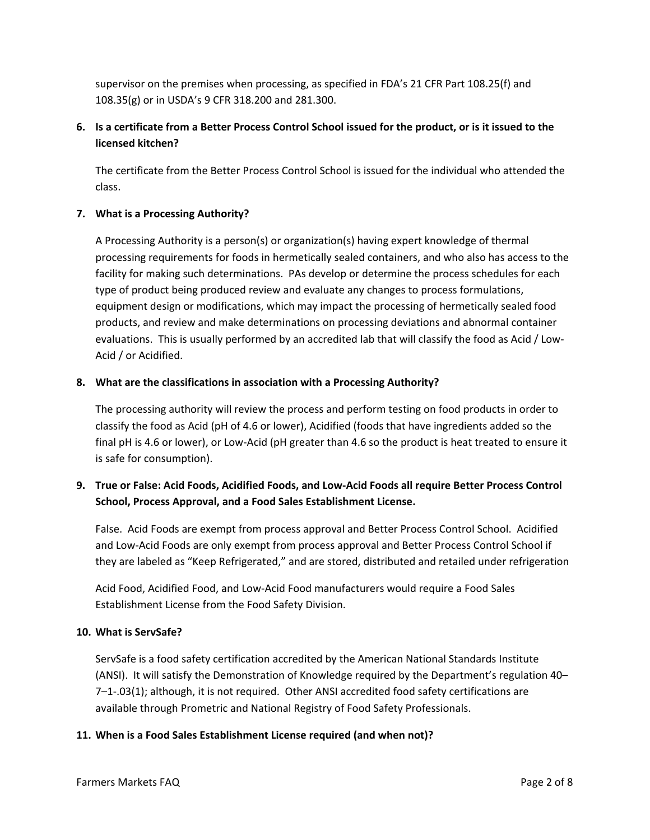supervisor on the premises when processing, as specified in FDA's 21 CFR Part 108.25(f) and 108.35(g) or in USDA's 9 CFR 318.200 and 281.300.

# **6. Is a certificate from a Better Process Control School issued for the product, or is it issued to the licensed kitchen?**

The certificate from the Better Process Control School is issued for the individual who attended the class.

### **7. What is a Processing Authority?**

A Processing Authority is a person(s) or organization(s) having expert knowledge of thermal processing requirements for foods in hermetically sealed containers, and who also has access to the facility for making such determinations. PAs develop or determine the process schedules for each type of product being produced review and evaluate any changes to process formulations, equipment design or modifications, which may impact the processing of hermetically sealed food products, and review and make determinations on processing deviations and abnormal container evaluations. This is usually performed by an accredited lab that will classify the food as Acid / Low-Acid / or Acidified.

#### **8. What are the classifications in association with a Processing Authority?**

The processing authority will review the process and perform testing on food products in order to classify the food as Acid (pH of 4.6 or lower), Acidified (foods that have ingredients added so the final pH is 4.6 or lower), or Low-Acid (pH greater than 4.6 so the product is heat treated to ensure it is safe for consumption).

# **9. True or False: Acid Foods, Acidified Foods, and Low-Acid Foods all require Better Process Control School, Process Approval, and a Food Sales Establishment License.**

False. Acid Foods are exempt from process approval and Better Process Control School. Acidified and Low-Acid Foods are only exempt from process approval and Better Process Control School if they are labeled as "Keep Refrigerated," and are stored, distributed and retailed under refrigeration

Acid Food, Acidified Food, and Low-Acid Food manufacturers would require a Food Sales Establishment License from the Food Safety Division.

#### **10. What is ServSafe?**

ServSafe is a food safety certification accredited by the American National Standards Institute (ANSI). It will satisfy the Demonstration of Knowledge required by the Department's regulation 40– 7–1-.03(1); although, it is not required. Other ANSI accredited food safety certifications are available through Prometric and National Registry of Food Safety Professionals.

#### **11. When is a Food Sales Establishment License required (and when not)?**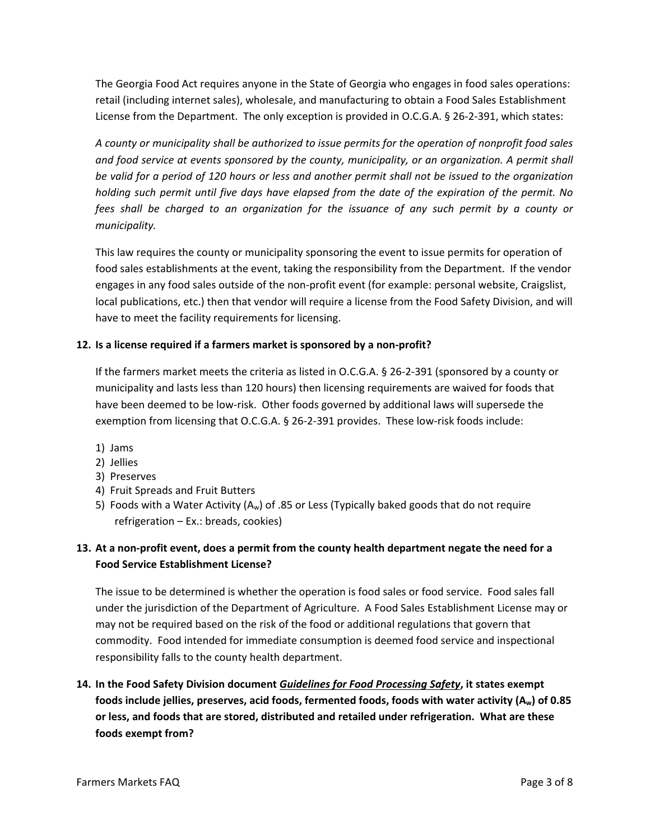The Georgia Food Act requires anyone in the State of Georgia who engages in food sales operations: retail (including internet sales), wholesale, and manufacturing to obtain a Food Sales Establishment License from the Department. The only exception is provided in O.C.G.A. § 26-2-391, which states:

*A county or municipality shall be authorized to issue permits for the operation of nonprofit food sales and food service at events sponsored by the county, municipality, or an organization. A permit shall be valid for a period of 120 hours or less and another permit shall not be issued to the organization holding such permit until five days have elapsed from the date of the expiration of the permit. No fees shall be charged to an organization for the issuance of any such permit by a county or municipality.*

This law requires the county or municipality sponsoring the event to issue permits for operation of food sales establishments at the event, taking the responsibility from the Department. If the vendor engages in any food sales outside of the non-profit event (for example: personal website, Craigslist, local publications, etc.) then that vendor will require a license from the Food Safety Division, and will have to meet the facility requirements for licensing.

### **12. Is a license required if a farmers market is sponsored by a non-profit?**

If the farmers market meets the criteria as listed in O.C.G.A. § 26-2-391 (sponsored by a county or municipality and lasts less than 120 hours) then licensing requirements are waived for foods that have been deemed to be low-risk. Other foods governed by additional laws will supersede the exemption from licensing that O.C.G.A. § 26-2-391 provides. These low-risk foods include:

- 1) Jams
- 2) Jellies
- 3) Preserves
- 4) Fruit Spreads and Fruit Butters
- 5) Foods with a Water Activity  $(A_w)$  of .85 or Less (Typically baked goods that do not require refrigeration – Ex.: breads, cookies)

# **13. At a non-profit event, does a permit from the county health department negate the need for a Food Service Establishment License?**

The issue to be determined is whether the operation is food sales or food service. Food sales fall under the jurisdiction of the Department of Agriculture. A Food Sales Establishment License may or may not be required based on the risk of the food or additional regulations that govern that commodity. Food intended for immediate consumption is deemed food service and inspectional responsibility falls to the county health department.

**14. In the Food Safety Division document** *Guidelines for Food Processing Safety***, it states exempt foods include jellies, preserves, acid foods, fermented foods, foods with water activity (Aw) of 0.85 or less, and foods that are stored, distributed and retailed under refrigeration. What are these foods exempt from?**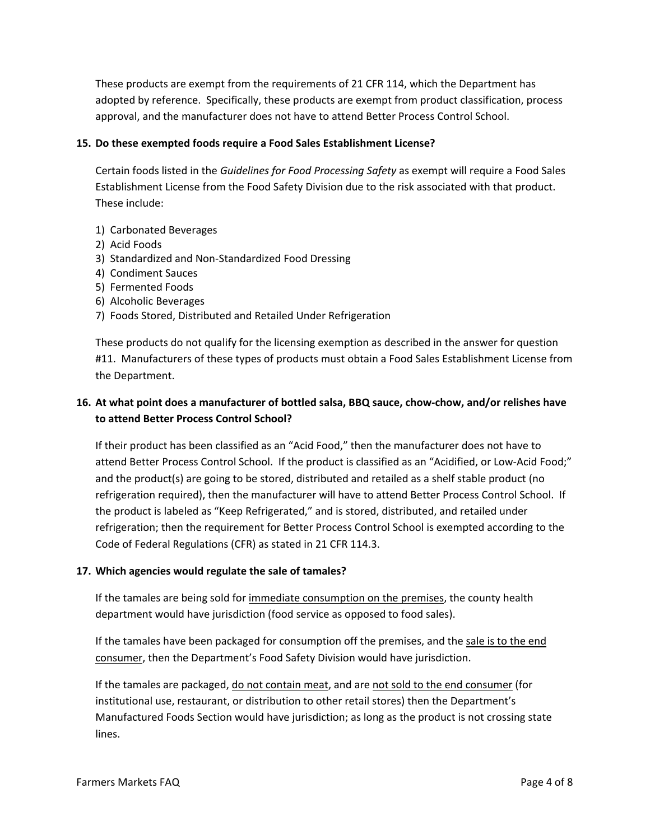These products are exempt from the requirements of 21 CFR 114, which the Department has adopted by reference. Specifically, these products are exempt from product classification, process approval, and the manufacturer does not have to attend Better Process Control School.

#### **15. Do these exempted foods require a Food Sales Establishment License?**

Certain foods listed in the *Guidelines for Food Processing Safety* as exempt will require a Food Sales Establishment License from the Food Safety Division due to the risk associated with that product. These include:

- 1) Carbonated Beverages
- 2) Acid Foods
- 3) Standardized and Non-Standardized Food Dressing
- 4) Condiment Sauces
- 5) Fermented Foods
- 6) Alcoholic Beverages
- 7) Foods Stored, Distributed and Retailed Under Refrigeration

These products do not qualify for the licensing exemption as described in the answer for question #11. Manufacturers of these types of products must obtain a Food Sales Establishment License from the Department.

## **16. At what point does a manufacturer of bottled salsa, BBQ sauce, chow-chow, and/or relishes have to attend Better Process Control School?**

If their product has been classified as an "Acid Food," then the manufacturer does not have to attend Better Process Control School. If the product is classified as an "Acidified, or Low-Acid Food;" and the product(s) are going to be stored, distributed and retailed as a shelf stable product (no refrigeration required), then the manufacturer will have to attend Better Process Control School. If the product is labeled as "Keep Refrigerated," and is stored, distributed, and retailed under refrigeration; then the requirement for Better Process Control School is exempted according to the Code of Federal Regulations (CFR) as stated in 21 CFR 114.3.

#### **17. Which agencies would regulate the sale of tamales?**

If the tamales are being sold for immediate consumption on the premises, the county health department would have jurisdiction (food service as opposed to food sales).

If the tamales have been packaged for consumption off the premises, and the sale is to the end consumer, then the Department's Food Safety Division would have jurisdiction.

If the tamales are packaged, do not contain meat, and are not sold to the end consumer (for institutional use, restaurant, or distribution to other retail stores) then the Department's Manufactured Foods Section would have jurisdiction; as long as the product is not crossing state lines.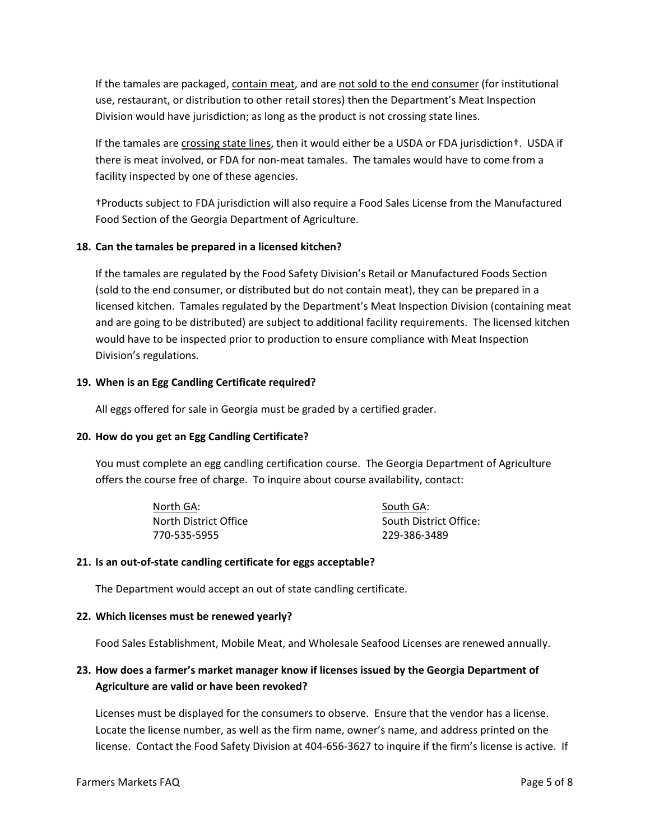If the tamales are packaged, contain meat, and are not sold to the end consumer (for institutional use, restaurant, or distribution to other retail stores) then the Department's Meat Inspection Division would have jurisdiction; as long as the product is not crossing state lines.

If the tamales are crossing state lines, then it would either be a USDA or FDA jurisdiction†. USDA if there is meat involved, or FDA for non-meat tamales. The tamales would have to come from a facility inspected by one of these agencies.

†Products subject to FDA jurisdiction will also require a Food Sales License from the Manufactured Food Section of the Georgia Department of Agriculture.

#### **18. Can the tamales be prepared in a licensed kitchen?**

If the tamales are regulated by the Food Safety Division's Retail or Manufactured Foods Section (sold to the end consumer, or distributed but do not contain meat), they can be prepared in a licensed kitchen. Tamales regulated by the Department's Meat Inspection Division (containing meat and are going to be distributed) are subject to additional facility requirements. The licensed kitchen would have to be inspected prior to production to ensure compliance with Meat Inspection Division's regulations.

#### **19. When is an Egg Candling Certificate required?**

All eggs offered for sale in Georgia must be graded by a certified grader.

#### **20. How do you get an Egg Candling Certificate?**

You must complete an egg candling certification course. The Georgia Department of Agriculture offers the course free of charge. To inquire about course availability, contact:

| North GA:             | South GA:              |
|-----------------------|------------------------|
| North District Office | South District Office: |
| 770-535-5955          | 229-386-3489           |

#### **21. Is an out-of-state candling certificate for eggs acceptable?**

The Department would accept an out of state candling certificate.

#### **22. Which licenses must be renewed yearly?**

Food Sales Establishment, Mobile Meat, and Wholesale Seafood Licenses are renewed annually.

## **23. How does a farmer's market manager know if licenses issued by the Georgia Department of Agriculture are valid or have been revoked?**

Licenses must be displayed for the consumers to observe. Ensure that the vendor has a license. Locate the license number, as well as the firm name, owner's name, and address printed on the license. Contact the Food Safety Division at 404-656-3627 to inquire if the firm's license is active. If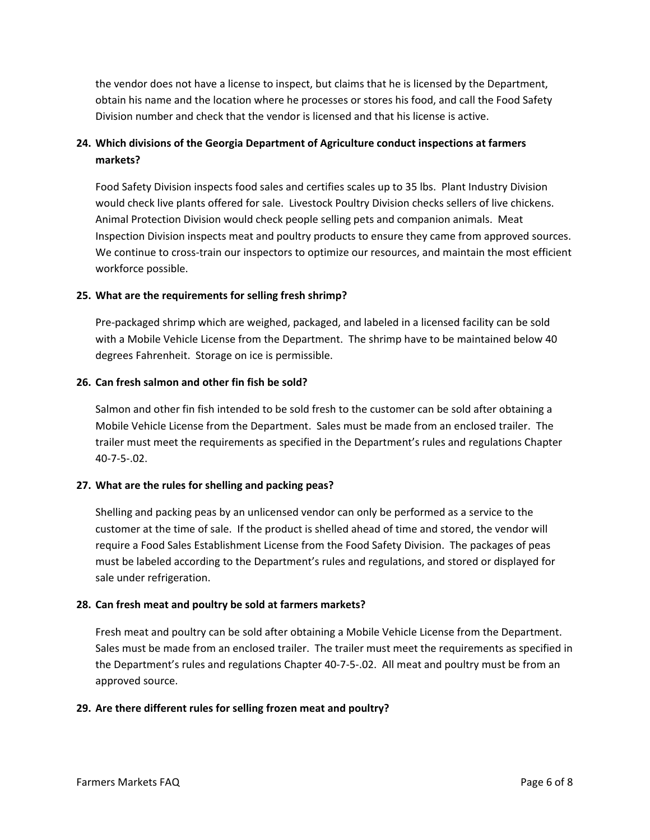the vendor does not have a license to inspect, but claims that he is licensed by the Department, obtain his name and the location where he processes or stores his food, and call the Food Safety Division number and check that the vendor is licensed and that his license is active.

# **24. Which divisions of the Georgia Department of Agriculture conduct inspections at farmers markets?**

Food Safety Division inspects food sales and certifies scales up to 35 lbs. Plant Industry Division would check live plants offered for sale. Livestock Poultry Division checks sellers of live chickens. Animal Protection Division would check people selling pets and companion animals. Meat Inspection Division inspects meat and poultry products to ensure they came from approved sources. We continue to cross-train our inspectors to optimize our resources, and maintain the most efficient workforce possible.

### **25. What are the requirements for selling fresh shrimp?**

Pre-packaged shrimp which are weighed, packaged, and labeled in a licensed facility can be sold with a Mobile Vehicle License from the Department. The shrimp have to be maintained below 40 degrees Fahrenheit. Storage on ice is permissible.

#### **26. Can fresh salmon and other fin fish be sold?**

Salmon and other fin fish intended to be sold fresh to the customer can be sold after obtaining a Mobile Vehicle License from the Department. Sales must be made from an enclosed trailer. The trailer must meet the requirements as specified in the Department's rules and regulations Chapter 40-7-5-.02.

#### **27. What are the rules for shelling and packing peas?**

Shelling and packing peas by an unlicensed vendor can only be performed as a service to the customer at the time of sale. If the product is shelled ahead of time and stored, the vendor will require a Food Sales Establishment License from the Food Safety Division. The packages of peas must be labeled according to the Department's rules and regulations, and stored or displayed for sale under refrigeration.

#### **28. Can fresh meat and poultry be sold at farmers markets?**

Fresh meat and poultry can be sold after obtaining a Mobile Vehicle License from the Department. Sales must be made from an enclosed trailer. The trailer must meet the requirements as specified in the Department's rules and regulations Chapter 40-7-5-.02. All meat and poultry must be from an approved source.

## **29. Are there different rules for selling frozen meat and poultry?**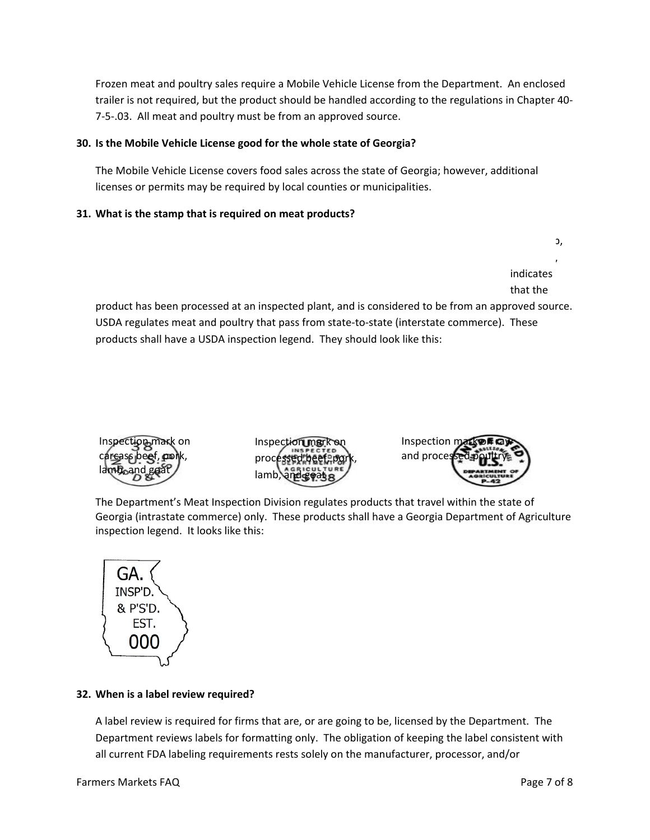Frozen meat and poultry sales require a Mobile Vehicle License from the Department. An enclosed trailer is not required, but the product should be handled according to the regulations in Chapter 40- 7-5-.03. All meat and poultry must be from an approved source.

#### **30. Is the Mobile Vehicle License good for the whole state of Georgia?**

The Mobile Vehicle License covers food sales across the state of Georgia; however, additional licenses or permits may be required by local counties or municipalities.

### **31. What is the stamp that is required on meat products?**

indicates that the

or legend,

C

product has been processed at an inspected plant, and is considered to be from an approved source. USDA regulates meat and poultry that pass from state-to-state (interstate commerce). These products shall have a USDA inspection legend. They should look like this:







The Department's Meat Inspection Division regulates products that travel within the state of Georgia (intrastate commerce) only. These products shall have a Georgia Department of Agriculture inspection legend. It looks like this:



## **32. When is a label review required?**

A label review is required for firms that are, or are going to be, licensed by the Department. The Department reviews labels for formatting only. The obligation of keeping the label consistent with all current FDA labeling requirements rests solely on the manufacturer, processor, and/or